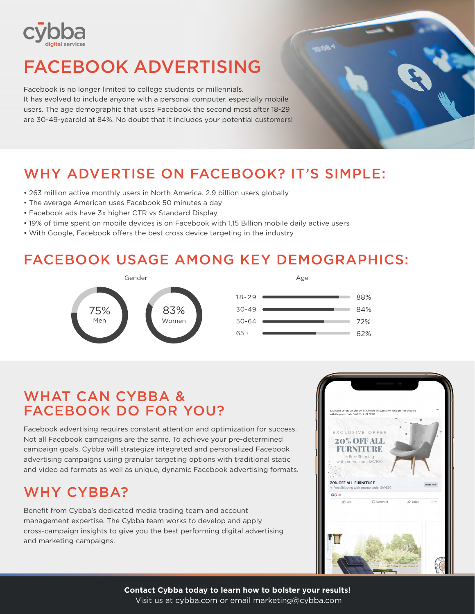

# FACEBOOK ADVERTISING

Facebook is no longer limited to college students or millennials. It has evolved to include anyone with a personal computer, especially mobile users. The age demographic that uses Facebook the second most after 18-29 are 30-49-yearold at 84%. No doubt that it includes your potential customers!

# WHY ADVERTISE ON FACEBOOK? IT'S SIMPLE:

- 263 million active monthly users in North America. 2.9 billion users globally
- The average American uses Facebook 50 minutes a day
- Facebook ads have 3x higher CTR vs Standard Display
- 19% of time spent on mobile devices is on Facebook with 1.15 Billion mobile daily active users
- With Google, Facebook offers the best cross device targeting in the industry

### FACEBOOK USAGE AMONG KEY DEMOGRAPHICS:



| 18-29 | 88% |
|-------|-----|
| 30-49 | 84% |
| 50-64 | 72% |
| 65 +  | 62% |
|       |     |

Age

### WHAT CAN CYBBA & FACEBOOK DO FOR YOU?

Facebook advertising requires constant attention and optimization for success. Not all Facebook campaigns are the same. To achieve your pre-determined campaign goals, Cybba will strategize integrated and personalized Facebook advertising campaigns using granular targeting options with traditional static and video ad formats as well as unique, dynamic Facebook advertising formats.

### WHY CYBBA?

Benefit from Cybba's dedicated media trading team and account management expertise. The Cybba team works to develop and apply cross-campaign insights to give you the best performing digital advertising and marketing campaigns.



**Contact Cybba today to learn how to bolster your results!**  Visit us at cybba.com or email marketing@cybba.com